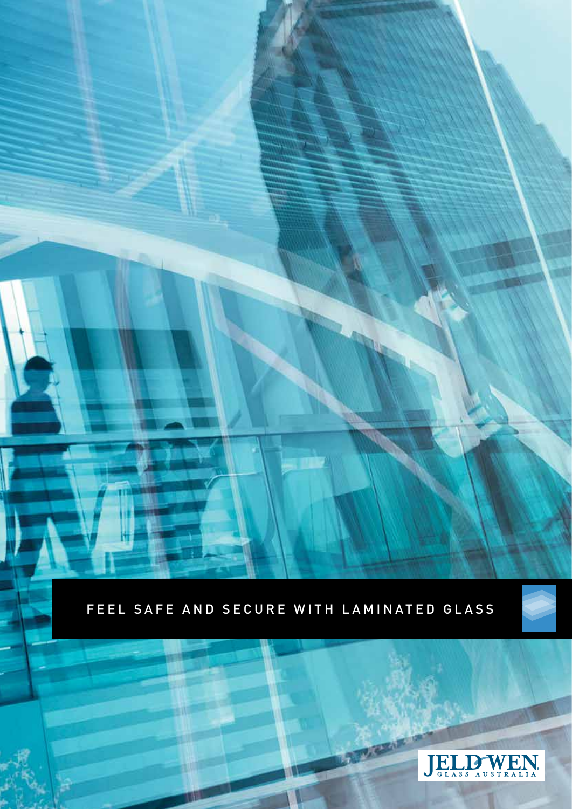FEEL SAFE AND SECURE WITH LAMINATED GLASS



**MARKA**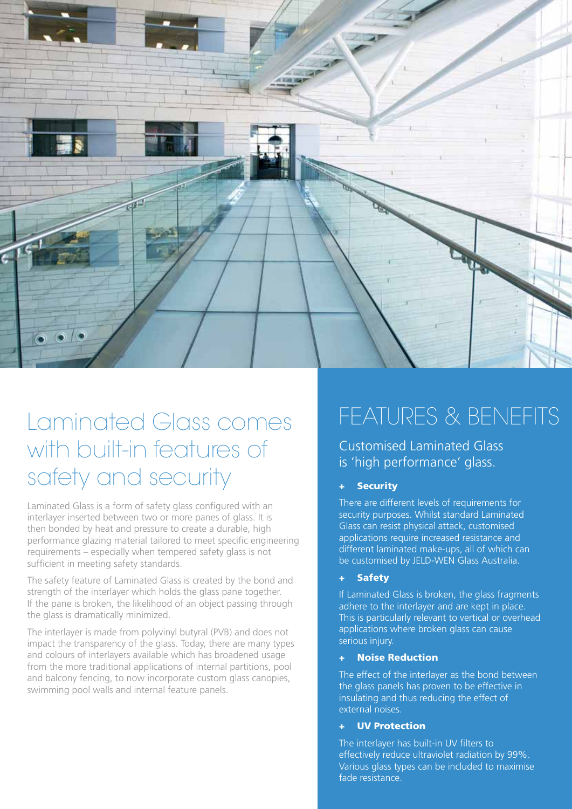

### Laminated Glass comes with built-in features of safety and security

Laminated Glass is a form of safety glass configured with an interlayer inserted between two or more panes of glass. It is then bonded by heat and pressure to create a durable, high performance glazing material tailored to meet specific engineering requirements – especially when tempered safety glass is not sufficient in meeting safety standards.

The safety feature of Laminated Glass is created by the bond and strength of the interlayer which holds the glass pane together. If the pane is broken, the likelihood of an object passing through the glass is dramatically minimized.

The interlayer is made from polyvinyl butyral (PVB) and does not impact the transparency of the glass. Today, there are many types and colours of interlayers available which has broadened usage from the more traditional applications of internal partitions, pool and balcony fencing, to now incorporate custom glass canopies, swimming pool walls and internal feature panels.

# FEATURES & BENEFITS

Customised Laminated Glass is 'high performance' glass.

### **Security**

There are different levels of requirements for security purposes. Whilst standard Laminated Glass can resist physical attack, customised applications require increased resistance and different laminated make-ups, all of which can be customised by JELD-WEN Glass Australia.

#### + Safety

If Laminated Glass is broken, the glass fragments adhere to the interlayer and are kept in place. This is particularly relevant to vertical or overhead applications where broken glass can cause serious injury.

#### **Noise Reduction**

The effect of the interlayer as the bond between the glass panels has proven to be effective in insulating and thus reducing the effect of external noises.

#### **UV Protection**

The interlayer has built-in UV filters to effectively reduce ultraviolet radiation by 99%. Various glass types can be included to maximise fade resistance.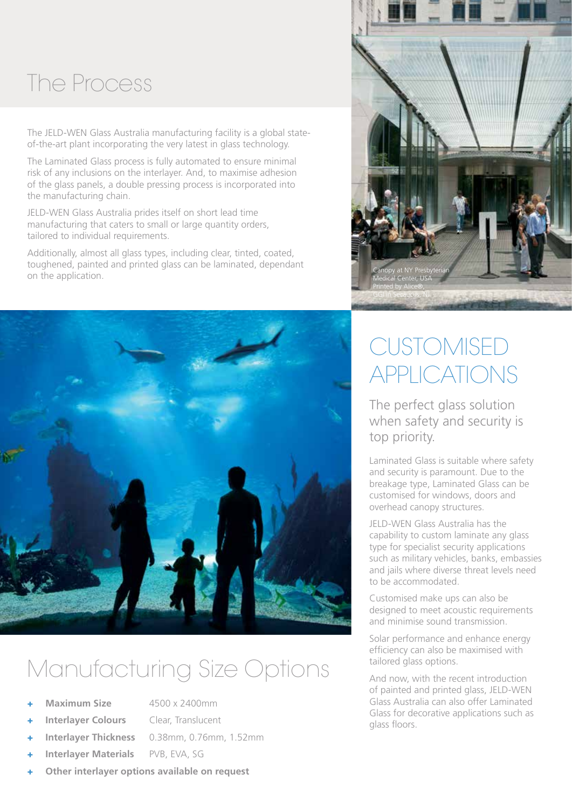## The Process

The JELD-WEN Glass Australia manufacturing facility is a global stateof-the-art plant incorporating the very latest in glass technology.

The Laminated Glass process is fully automated to ensure minimal risk of any inclusions on the interlayer. And, to maximise adhesion of the glass panels, a double pressing process is incorporated into the manufacturing chain.

JELD-WEN Glass Australia prides itself on short lead time manufacturing that caters to small or large quantity orders, tailored to individual requirements.

Additionally, almost all glass types, including clear, tinted, coated, toughened, painted and printed glass can be laminated, dependant on the application.



# Manufacturing Size Options

**Maximum Size** 4500 x 2400mm

- + **Interlayer Colours** Clear, Translucent
	-
	-

when safety and security is top priority. Laminated Glass is suitable where safety and security is paramount. Due to the breakage type, Laminated Glass can be customised for windows, doors and overhead canopy structures.

JELD-WEN Glass Australia has the capability to custom laminate any glass type for specialist security applications such as military vehicles, banks, embassies and jails where diverse threat levels need to be accommodated.

**CUSTOMISED** 

APPLICATIONS

The perfect glass solution

Customised make ups can also be designed to meet acoustic requirements and minimise sound transmission.

Solar performance and enhance energy efficiency can also be maximised with tailored glass options.

And now, with the recent introduction of painted and printed glass, JELD-WEN Glass Australia can also offer Laminated Glass for decorative applications such as glass floors.



- + **Interlayer Thickness** 0.38mm, 0.76mm, 1.52mm **Interlayer Materials** PVB, EVA, SG
- + **Other interlayer options available on request**